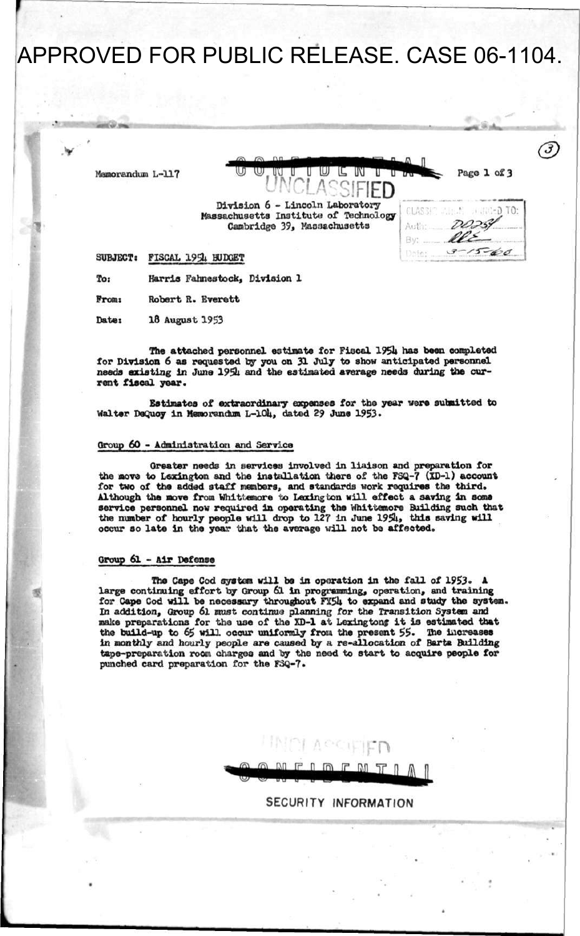APPROVED FOR PUBLIC RELEASE. CASE 06-1104.

 $M$ emorandum L-117



**.** 

 $\breve{\phantom{a}}$ 

**SUBJECT: FISCAL 195U BUDGET** 

**To< Harris Fahnestock, Division 1** 

**Fromt Robert R. Everett** 

**Date: 18 August 1953** 

**The attached personnel estimate for Fiscal 195U has been completed for Division 6 as requested by you on 31 July to show anticipated personnel needs existing in June 195U and the estimated average needs during the current fiscal year.** 

**Estimates of extraordinary expenses for the year were submitted to**  Walter DeQuoy in Memorandum L-104, dated 29 June 1953.

#### **Group 60 - Administration and Service**

**Greater needs in services involved in liaison and preparation for the move to Lexington and the installation there of the FSQ-7 (XB-i) account for two of the added staff members, and standards work requires the third.**  Although the move from Whittemore to Laxington will effect a saving in some **service personnel now required in operating the Whlttemore Building such that**  the number of hourly people will drop to 127 in June 1954, this saving will **occur so late in the year that the average will not be affected.** 

#### **Group 61 - Air Defense**

**The Cape Cod system will be in operation in the fall of 1953. A large continuing effort by Group 61 in programming, operation, and training for Cape Cod will be necessary throughout FY5U to expand and study the system. In addition, Group 6l must continue planning for the Transition System and make preparations for the use of the XD-1 at Lexington? it is estimated that the build-up to 65 will occur uniformly frou the present 55. The increases**  in monthly and hourly people are caused by a re-allocation of Barta Building **tape-preparation room charges and by the need to start to acquire people for punched card preparation for the FSQ-7\*** 

**^ipjpn** 

**SECURITY INFORMATION**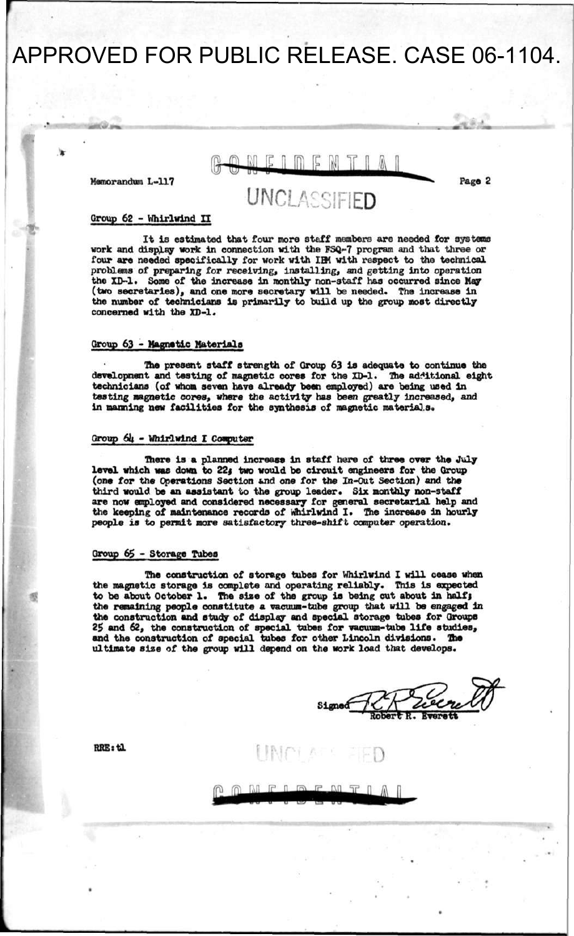# APPROVED FOR PUBLIC RELEASE. CASE 06-1104.

**Memorandum L-117** 

 $E \cap \cap E \cap Y \cap \Delta$ 

**UNCLASSIFIED** 

**Page 2** 

#### Group 62 - Whirlwind II

**It is estimated that four more staff members are needed for systems work and display work in connection with the FSQ-7 program and that three or four are needed specifically for work with IEK with respect to the technical problems of preparing for receiving, installing, and getting into operation the XD-1. Some of the increase In monthly non-staff has occurred since May (two secretaries), and one more secretary will be needed. The increase In the number of technicians is primarily to build up the group most directly concerned with the XD-1.** 

#### **Group 63 - Magnetic Materials**

**The present staff strength of Group 63 is adequate to continue the**  development and testing of magnetic cores for the XD-1. The additional eight **technicians (of whom seven have already been employed) are being used in testing magnetic cores, where the activity has been greatly increased, and in manning new facilities for the synthesis of magnetic materials.** 

### **Group 6U - Whirlwind I Computer**

**There is a planned increase in staff here of three over the July**  level which was down to 22; two would be circuit engineers for the Group (one for the Operations Section and one for the In-Out Section) and the third would be an assistant to the group leader. Six monthly non-staff **are now employed and considered necessary for general secretarial help and the keeping of maintenance records of Whirlwind I. The increase In hourly people is to permit more satisfactory three-shift computer operation.** 

#### **Group 6\$ - Storage Tubes**

**The construction of storage tubes for Whirlwind I will cease when the magnetic storage is complete and operating reliably. This is expected**  to be about October 1. The size of the group is being cut about in half; **the remaining people constitute a vacuum-tube group that will be engaged In the construction and study of display and special storage tubes for Groups 25 and 62, the construction of special tubes for vacuum-tube life studies, and the construction of special tubes for other Lincoln divisions. The ultimate size of the group will depend on the work load that develops.** 

**.** 

**RKE:tl**  $\blacksquare$ 

 $M \tF 1 F.$  $\mathbb{R}^n$  $\neg r$